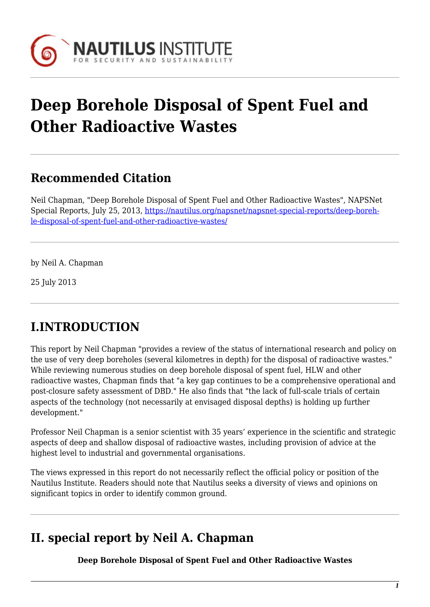

# **Deep Borehole Disposal of Spent Fuel and Other Radioactive Wastes**

## **Recommended Citation**

Neil Chapman, "Deep Borehole Disposal of Spent Fuel and Other Radioactive Wastes", NAPSNet Special Reports, July 25, 2013, [https://nautilus.org/napsnet/napsnet-special-reports/deep-boreh](https://nautilus.org/napsnet/napsnet-special-reports/deep-borehole-disposal-of-spent-fuel-and-other-radioactive-wastes/)[le-disposal-of-spent-fuel-and-other-radioactive-wastes/](https://nautilus.org/napsnet/napsnet-special-reports/deep-borehole-disposal-of-spent-fuel-and-other-radioactive-wastes/)

by Neil A. Chapman

25 July 2013

## **I.INTRODUCTION**

This report by Neil Chapman "provides a review of the status of international research and policy on the use of very deep boreholes (several kilometres in depth) for the disposal of radioactive wastes." While reviewing numerous studies on deep borehole disposal of spent fuel, HLW and other radioactive wastes, Chapman finds that "a key gap continues to be a comprehensive operational and post-closure safety assessment of DBD." He also finds that "the lack of full-scale trials of certain aspects of the technology (not necessarily at envisaged disposal depths) is holding up further development."

Professor Neil Chapman is a senior scientist with 35 years' experience in the scientific and strategic aspects of deep and shallow disposal of radioactive wastes, including provision of advice at the highest level to industrial and governmental organisations.

The views expressed in this report do not necessarily reflect the official policy or position of the Nautilus Institute. Readers should note that Nautilus seeks a diversity of views and opinions on significant topics in order to identify common ground.

## **II. special report by Neil A. Chapman**

**Deep Borehole Disposal of Spent Fuel and Other Radioactive Wastes**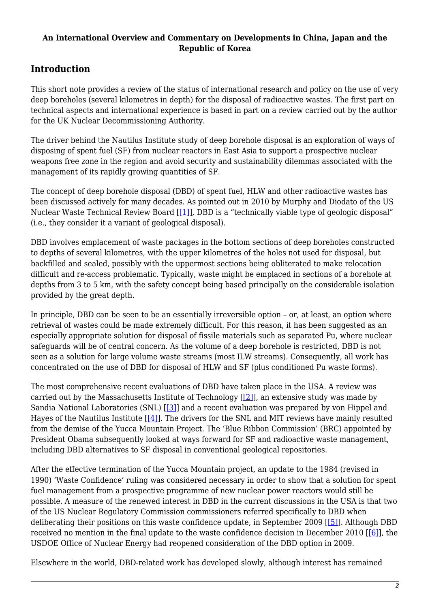#### **An International Overview and Commentary on Developments in China, Japan and the Republic of Korea**

## **Introduction**

This short note provides a review of the status of international research and policy on the use of very deep boreholes (several kilometres in depth) for the disposal of radioactive wastes. The first part on technical aspects and international experience is based in part on a review carried out by the author for the UK Nuclear Decommissioning Authority.

The driver behind the Nautilus Institute study of deep borehole disposal is an exploration of ways of disposing of spent fuel (SF) from nuclear reactors in East Asia to support a prospective nuclear weapons free zone in the region and avoid security and sustainability dilemmas associated with the management of its rapidly growing quantities of SF.

The concept of deep borehole disposal (DBD) of spent fuel, HLW and other radioactive wastes has been discussed actively for many decades. As pointed out in 2010 by Murphy and Diodato of the US Nuclear Waste Technical Review Board [\[\[1\]](#page--1-0)], DBD is a "technically viable type of geologic disposal" (i.e., they consider it a variant of geological disposal).

DBD involves emplacement of waste packages in the bottom sections of deep boreholes constructed to depths of several kilometres, with the upper kilometres of the holes not used for disposal, but backfilled and sealed, possibly with the uppermost sections being obliterated to make relocation difficult and re-access problematic. Typically, waste might be emplaced in sections of a borehole at depths from 3 to 5 km, with the safety concept being based principally on the considerable isolation provided by the great depth.

In principle, DBD can be seen to be an essentially irreversible option – or, at least, an option where retrieval of wastes could be made extremely difficult. For this reason, it has been suggested as an especially appropriate solution for disposal of fissile materials such as separated Pu, where nuclear safeguards will be of central concern. As the volume of a deep borehole is restricted, DBD is not seen as a solution for large volume waste streams (most ILW streams). Consequently, all work has concentrated on the use of DBD for disposal of HLW and SF (plus conditioned Pu waste forms).

The most comprehensive recent evaluations of DBD have taken place in the USA. A review was carried out by the Massachusetts Institute of Technology  $[[2]]$  $[[2]]$ , an extensive study was made by Sandia National Laboratories (SNL) [\[\[3\]](#page--1-0)] and a recent evaluation was prepared by von Hippel and Hayes of the Nautilus Institute  $[[4]]$  $[[4]]$ . The drivers for the SNL and MIT reviews have mainly resulted from the demise of the Yucca Mountain Project. The 'Blue Ribbon Commission' (BRC) appointed by President Obama subsequently looked at ways forward for SF and radioactive waste management, including DBD alternatives to SF disposal in conventional geological repositories.

After the effective termination of the Yucca Mountain project, an update to the 1984 (revised in 1990) 'Waste Confidence' ruling was considered necessary in order to show that a solution for spent fuel management from a prospective programme of new nuclear power reactors would still be possible. A measure of the renewed interest in DBD in the current discussions in the USA is that two of the US Nuclear Regulatory Commission commissioners referred specifically to DBD when deliberating their positions on this waste confidence update, in September 2009 [[\[5\]\]](#page--1-0). Although DBD received no mention in the final update to the waste confidence decision in December 2010 [\[\[6\]](#page--1-0)], the USDOE Office of Nuclear Energy had reopened consideration of the DBD option in 2009.

Elsewhere in the world, DBD-related work has developed slowly, although interest has remained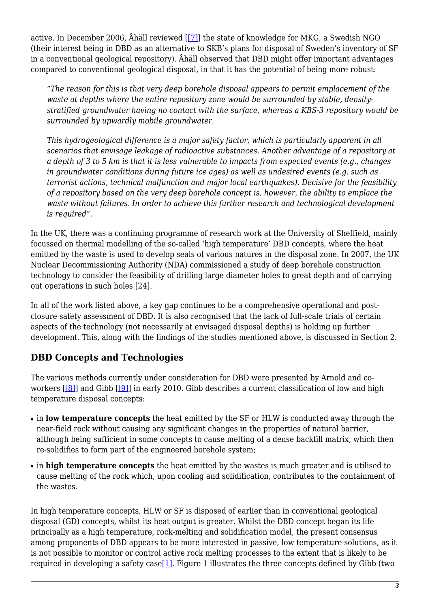active. In December 2006, Åhäll reviewed [\[\[7\]](#page--1-0)] the state of knowledge for MKG, a Swedish NGO (their interest being in DBD as an alternative to SKB's plans for disposal of Sweden's inventory of SF in a conventional geological repository). Åhäll observed that DBD might offer important advantages compared to conventional geological disposal, in that it has the potential of being more robust:

*"The reason for this is that very deep borehole disposal appears to permit emplacement of the waste at depths where the entire repository zone would be surrounded by stable, densitystratified groundwater having no contact with the surface, whereas a KBS-3 repository would be surrounded by upwardly mobile groundwater.*

*This hydrogeological difference is a major safety factor, which is particularly apparent in all scenarios that envisage leakage of radioactive substances. Another advantage of a repository at a depth of 3 to 5 km is that it is less vulnerable to impacts from expected events (e.g., changes in groundwater conditions during future ice ages) as well as undesired events (e.g. such as terrorist actions, technical malfunction and major local earthquakes). Decisive for the feasibility of a repository based on the very deep borehole concept is, however, the ability to emplace the waste without failures. In order to achieve this further research and technological development is required".*

In the UK, there was a continuing programme of research work at the University of Sheffield, mainly focussed on thermal modelling of the so-called 'high temperature' DBD concepts, where the heat emitted by the waste is used to develop seals of various natures in the disposal zone. In 2007, the UK Nuclear Decommissioning Authority (NDA) commissioned a study of deep borehole construction technology to consider the feasibility of drilling large diameter holes to great depth and of carrying out operations in such holes [24].

In all of the work listed above, a key gap continues to be a comprehensive operational and postclosure safety assessment of DBD. It is also recognised that the lack of full-scale trials of certain aspects of the technology (not necessarily at envisaged disposal depths) is holding up further development. This, along with the findings of the studies mentioned above, is discussed in Section 2.

### **DBD Concepts and Technologies**

The various methods currently under consideration for DBD were presented by Arnold and coworkers [\[\[8\]](#page--1-0)] and Gibb [[\[9\]\]](#page--1-0) in early 2010. Gibb describes a current classification of low and high temperature disposal concepts:

- in **low temperature concepts** the heat emitted by the SF or HLW is conducted away through the near-field rock without causing any significant changes in the properties of natural barrier, although being sufficient in some concepts to cause melting of a dense backfill matrix, which then re-solidifies to form part of the engineered borehole system;
- in **high temperature concepts** the heat emitted by the wastes is much greater and is utilised to cause melting of the rock which, upon cooling and solidification, contributes to the containment of the wastes.

In high temperature concepts, HLW or SF is disposed of earlier than in conventional geological disposal (GD) concepts, whilst its heat output is greater. Whilst the DBD concept began its life principally as a high temperature, rock-melting and solidification model, the present consensus among proponents of DBD appears to be more interested in passive, low temperature solutions, as it is not possible to monitor or control active rock melting processes to the extent that is likely to be required in developing a safety case<sup>[1]</sup>. Figure 1 illustrates the three concepts defined by Gibb (two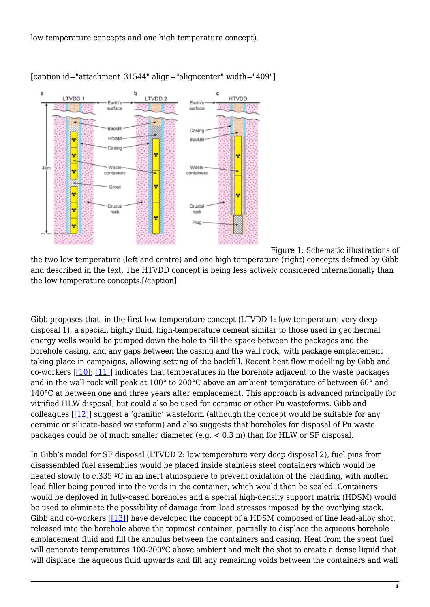low temperature concepts and one high temperature concept).



[caption id="attachment\_31544" align="aligncenter" width="409"]

 Figure 1: Schematic illustrations of the two low temperature (left and centre) and one high temperature (right) concepts defined by Gibb and described in the text. The HTVDD concept is being less actively considered internationally than the low temperature concepts.[/caption]

Gibb proposes that, in the first low temperature concept (LTVDD 1: low temperature very deep disposal 1), a special, highly fluid, high-temperature cement similar to those used in geothermal energy wells would be pumped down the hole to fill the space between the packages and the borehole casing, and any gaps between the casing and the wall rock, with package emplacement taking place in campaigns, allowing setting of the backfill. Recent heat flow modelling by Gibb and co-workers  $[10]$ ;  $[11]$ ] indicates that temperatures in the borehole adjacent to the waste packages and in the wall rock will peak at 100° to 200°C above an ambient temperature of between 60° and 140°C at between one and three years after emplacement. This approach is advanced principally for vitrified HLW disposal, but could also be used for ceramic or other Pu wasteforms. Gibb and colleagues  $[[12]]$  $[[12]]$  $[[12]]$  suggest a 'granitic' wasteform (although the concept would be suitable for any ceramic or silicate-based wasteform) and also suggests that boreholes for disposal of Pu waste packages could be of much smaller diameter (e.g. < 0.3 m) than for HLW or SF disposal.

In Gibb's model for SF disposal (LTVDD 2: low temperature very deep disposal 2), fuel pins from disassembled fuel assemblies would be placed inside stainless steel containers which would be heated slowly to c.335 °C in an inert atmosphere to prevent oxidation of the cladding, with molten lead filler being poured into the voids in the container, which would then be sealed. Containers would be deployed in fully-cased boreholes and a special high-density support matrix (HDSM) would be used to eliminate the possibility of damage from load stresses imposed by the overlying stack. Gibb and co-workers [[\[13\]](#page--1-0)] have developed the concept of a HDSM composed of fine lead-alloy shot, released into the borehole above the topmost container, partially to displace the aqueous borehole emplacement fluid and fill the annulus between the containers and casing. Heat from the spent fuel will generate temperatures 100-200<sup>o</sup>C above ambient and melt the shot to create a dense liquid that will displace the aqueous fluid upwards and fill any remaining voids between the containers and wall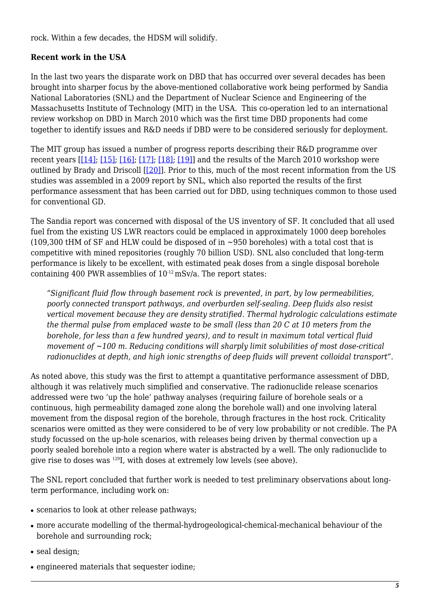rock. Within a few decades, the HDSM will solidify.

#### **Recent work in the USA**

In the last two years the disparate work on DBD that has occurred over several decades has been brought into sharper focus by the above-mentioned collaborative work being performed by Sandia National Laboratories (SNL) and the Department of Nuclear Science and Engineering of the Massachusetts Institute of Technology (MIT) in the USA. This co-operation led to an international review workshop on DBD in March 2010 which was the first time DBD proponents had come together to identify issues and R&D needs if DBD were to be considered seriously for deployment.

The MIT group has issued a number of progress reports describing their R&D programme over recent years  $[[14]; [15]; [16]; [17]; [18]; [19]]$  $[[14]; [15]; [16]; [17]; [18]; [19]]$  $[[14]; [15]; [16]; [17]; [18]; [19]]$  $[[14]; [15]; [16]; [17]; [18]; [19]]$  $[[14]; [15]; [16]; [17]; [18]; [19]]$  $[[14]; [15]; [16]; [17]; [18]; [19]]$  $[[14]; [15]; [16]; [17]; [18]; [19]]$  $[[14]; [15]; [16]; [17]; [18]; [19]]$  and the results of the March 2010 workshop were outlined by Brady and Driscoll [\[\[20\]\]](#page--1-0). Prior to this, much of the most recent information from the US studies was assembled in a 2009 report by SNL, which also reported the results of the first performance assessment that has been carried out for DBD, using techniques common to those used for conventional GD.

The Sandia report was concerned with disposal of the US inventory of SF. It concluded that all used fuel from the existing US LWR reactors could be emplaced in approximately 1000 deep boreholes (109,300 tHM of SF and HLW could be disposed of in  $\sim$ 950 boreholes) with a total cost that is competitive with mined repositories (roughly 70 billion USD). SNL also concluded that long-term performance is likely to be excellent, with estimated peak doses from a single disposal borehole containing 400 PWR assemblies of  $10^{-12}$  mSv/a. The report states:

*"Significant fluid flow through basement rock is prevented, in part, by low permeabilities, poorly connected transport pathways, and overburden self-sealing. Deep fluids also resist vertical movement because they are density stratified. Thermal hydrologic calculations estimate the thermal pulse from emplaced waste to be small (less than 20 C at 10 meters from the borehole, for less than a few hundred years), and to result in maximum total vertical fluid movement of ~100 m. Reducing conditions will sharply limit solubilities of most dose-critical radionuclides at depth, and high ionic strengths of deep fluids will prevent colloidal transport".*

As noted above, this study was the first to attempt a quantitative performance assessment of DBD, although it was relatively much simplified and conservative. The radionuclide release scenarios addressed were two 'up the hole' pathway analyses (requiring failure of borehole seals or a continuous, high permeability damaged zone along the borehole wall) and one involving lateral movement from the disposal region of the borehole, through fractures in the host rock. Criticality scenarios were omitted as they were considered to be of very low probability or not credible. The PA study focussed on the up-hole scenarios, with releases being driven by thermal convection up a poorly sealed borehole into a region where water is abstracted by a well. The only radionuclide to give rise to doses was <sup>129</sup>I, with doses at extremely low levels (see above).

The SNL report concluded that further work is needed to test preliminary observations about longterm performance, including work on:

- scenarios to look at other release pathways:
- more accurate modelling of the thermal-hydrogeological-chemical-mechanical behaviour of the borehole and surrounding rock;
- seal design;
- engineered materials that sequester iodine;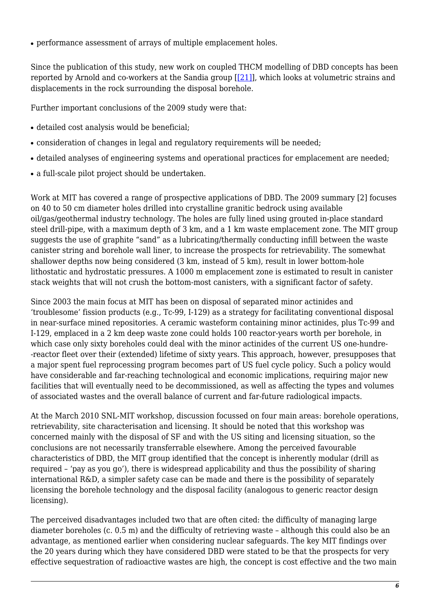• performance assessment of arrays of multiple emplacement holes.

Since the publication of this study, new work on coupled THCM modelling of DBD concepts has been reported by Arnold and co-workers at the Sandia group [[\[21\]\]](#page--1-0), which looks at volumetric strains and displacements in the rock surrounding the disposal borehole.

Further important conclusions of the 2009 study were that:

- detailed cost analysis would be beneficial;
- consideration of changes in legal and regulatory requirements will be needed;
- detailed analyses of engineering systems and operational practices for emplacement are needed;
- a full-scale pilot project should be undertaken.

Work at MIT has covered a range of prospective applications of DBD. The 2009 summary [2] focuses on 40 to 50 cm diameter holes drilled into crystalline granitic bedrock using available oil/gas/geothermal industry technology. The holes are fully lined using grouted in-place standard steel drill-pipe, with a maximum depth of 3 km, and a 1 km waste emplacement zone. The MIT group suggests the use of graphite "sand" as a lubricating/thermally conducting infill between the waste canister string and borehole wall liner, to increase the prospects for retrievability. The somewhat shallower depths now being considered (3 km, instead of 5 km), result in lower bottom-hole lithostatic and hydrostatic pressures. A 1000 m emplacement zone is estimated to result in canister stack weights that will not crush the bottom-most canisters, with a significant factor of safety.

Since 2003 the main focus at MIT has been on disposal of separated minor actinides and 'troublesome' fission products (e.g., Tc-99, I-129) as a strategy for facilitating conventional disposal in near-surface mined repositories. A ceramic wasteform containing minor actinides, plus Tc-99 and I-129, emplaced in a 2 km deep waste zone could holds 100 reactor-years worth per borehole, in which case only sixty boreholes could deal with the minor actinides of the current US one-hundre- -reactor fleet over their (extended) lifetime of sixty years. This approach, however, presupposes that a major spent fuel reprocessing program becomes part of US fuel cycle policy. Such a policy would have considerable and far-reaching technological and economic implications, requiring major new facilities that will eventually need to be decommissioned, as well as affecting the types and volumes of associated wastes and the overall balance of current and far-future radiological impacts.

At the March 2010 SNL-MIT workshop, discussion focussed on four main areas: borehole operations, retrievability, site characterisation and licensing. It should be noted that this workshop was concerned mainly with the disposal of SF and with the US siting and licensing situation, so the conclusions are not necessarily transferrable elsewhere. Among the perceived favourable characteristics of DBD, the MIT group identified that the concept is inherently modular (drill as required – 'pay as you go'), there is widespread applicability and thus the possibility of sharing international R&D, a simpler safety case can be made and there is the possibility of separately licensing the borehole technology and the disposal facility (analogous to generic reactor design licensing).

The perceived disadvantages included two that are often cited: the difficulty of managing large diameter boreholes (c. 0.5 m) and the difficulty of retrieving waste – although this could also be an advantage, as mentioned earlier when considering nuclear safeguards. The key MIT findings over the 20 years during which they have considered DBD were stated to be that the prospects for very effective sequestration of radioactive wastes are high, the concept is cost effective and the two main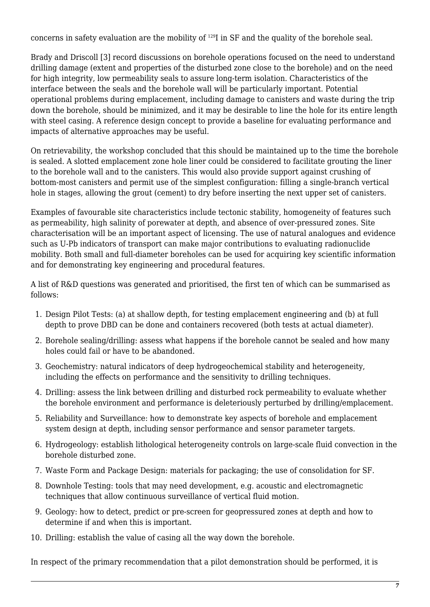concerns in safety evaluation are the mobility of <sup>129</sup>I in SF and the quality of the borehole seal.

Brady and Driscoll [3] record discussions on borehole operations focused on the need to understand drilling damage (extent and properties of the disturbed zone close to the borehole) and on the need for high integrity, low permeability seals to assure long-term isolation. Characteristics of the interface between the seals and the borehole wall will be particularly important. Potential operational problems during emplacement, including damage to canisters and waste during the trip down the borehole, should be minimized, and it may be desirable to line the hole for its entire length with steel casing. A reference design concept to provide a baseline for evaluating performance and impacts of alternative approaches may be useful.

On retrievability, the workshop concluded that this should be maintained up to the time the borehole is sealed. A slotted emplacement zone hole liner could be considered to facilitate grouting the liner to the borehole wall and to the canisters. This would also provide support against crushing of bottom-most canisters and permit use of the simplest configuration: filling a single-branch vertical hole in stages, allowing the grout (cement) to dry before inserting the next upper set of canisters.

Examples of favourable site characteristics include tectonic stability, homogeneity of features such as permeability, high salinity of porewater at depth, and absence of over-pressured zones. Site characterisation will be an important aspect of licensing. The use of natural analogues and evidence such as U-Pb indicators of transport can make major contributions to evaluating radionuclide mobility. Both small and full-diameter boreholes can be used for acquiring key scientific information and for demonstrating key engineering and procedural features.

A list of R&D questions was generated and prioritised, the first ten of which can be summarised as follows:

- 1. Design Pilot Tests: (a) at shallow depth, for testing emplacement engineering and (b) at full depth to prove DBD can be done and containers recovered (both tests at actual diameter).
- 2. Borehole sealing/drilling: assess what happens if the borehole cannot be sealed and how many holes could fail or have to be abandoned.
- 3. Geochemistry: natural indicators of deep hydrogeochemical stability and heterogeneity, including the effects on performance and the sensitivity to drilling techniques.
- 4. Drilling: assess the link between drilling and disturbed rock permeability to evaluate whether the borehole environment and performance is deleteriously perturbed by drilling/emplacement.
- 5. Reliability and Surveillance: how to demonstrate key aspects of borehole and emplacement system design at depth, including sensor performance and sensor parameter targets.
- 6. Hydrogeology: establish lithological heterogeneity controls on large-scale fluid convection in the borehole disturbed zone.
- 7. Waste Form and Package Design: materials for packaging; the use of consolidation for SF.
- 8. Downhole Testing: tools that may need development, e.g. acoustic and electromagnetic techniques that allow continuous surveillance of vertical fluid motion.
- 9. Geology: how to detect, predict or pre-screen for geopressured zones at depth and how to determine if and when this is important.
- 10. Drilling: establish the value of casing all the way down the borehole.

In respect of the primary recommendation that a pilot demonstration should be performed, it is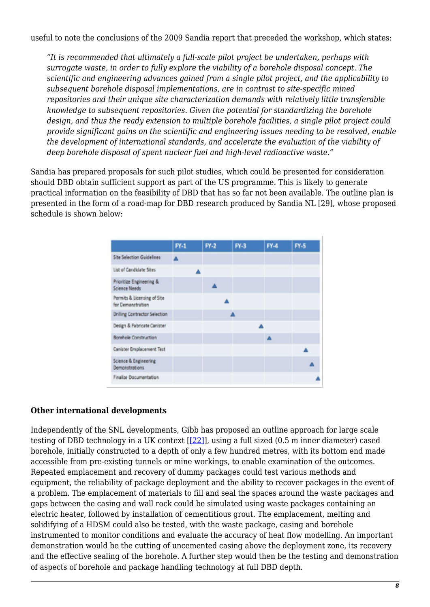useful to note the conclusions of the 2009 Sandia report that preceded the workshop, which states:

*"It is recommended that ultimately a full-scale pilot project be undertaken, perhaps with surrogate waste, in order to fully explore the viability of a borehole disposal concept. The scientific and engineering advances gained from a single pilot project, and the applicability to subsequent borehole disposal implementations, are in contrast to site-specific mined repositories and their unique site characterization demands with relatively little transferable knowledge to subsequent repositories. Given the potential for standardizing the borehole design, and thus the ready extension to multiple borehole facilities, a single pilot project could provide significant gains on the scientific and engineering issues needing to be resolved, enable the development of international standards, and accelerate the evaluation of the viability of deep borehole disposal of spent nuclear fuel and high-level radioactive waste."*

Sandia has prepared proposals for such pilot studies, which could be presented for consideration should DBD obtain sufficient support as part of the US programme. This is likely to generate practical information on the feasibility of DBD that has so far not been available. The outline plan is presented in the form of a road-map for DBD research produced by Sandia NL [29], whose proposed schedule is shown below:

|                                                  | $PV-1$ | $FN-2$ | FY-3 | FA | $F-5$ |
|--------------------------------------------------|--------|--------|------|----|-------|
| Site Selection Guidelines                        |        |        |      |    |       |
| List of Candidate Sites                          |        |        |      |    |       |
| Prioritize Engineering &<br><b>Science Needs</b> |        |        |      |    |       |
| Permits & Licensing of Site<br>for Demonstration |        |        |      |    |       |
| <b>Drilling Contractor Selection</b>             |        |        | 森    |    |       |
| Design & Fabricate Canister                      |        |        |      |    |       |
| Borehole Construction                            |        |        |      | ▲  |       |
| Canister Emplacement Test                        |        |        |      |    |       |
| Science & Engineering<br>Demonstrations          |        |        |      |    |       |
| Finalize Documentation                           |        |        |      |    |       |

#### **Other international developments**

Independently of the SNL developments, Gibb has proposed an outline approach for large scale testing of DBD technology in a UK context [[\[22\]\]](#page--1-0), using a full sized (0.5 m inner diameter) cased borehole, initially constructed to a depth of only a few hundred metres, with its bottom end made accessible from pre-existing tunnels or mine workings, to enable examination of the outcomes. Repeated emplacement and recovery of dummy packages could test various methods and equipment, the reliability of package deployment and the ability to recover packages in the event of a problem. The emplacement of materials to fill and seal the spaces around the waste packages and gaps between the casing and wall rock could be simulated using waste packages containing an electric heater, followed by installation of cementitious grout. The emplacement, melting and solidifying of a HDSM could also be tested, with the waste package, casing and borehole instrumented to monitor conditions and evaluate the accuracy of heat flow modelling. An important demonstration would be the cutting of uncemented casing above the deployment zone, its recovery and the effective sealing of the borehole. A further step would then be the testing and demonstration of aspects of borehole and package handling technology at full DBD depth.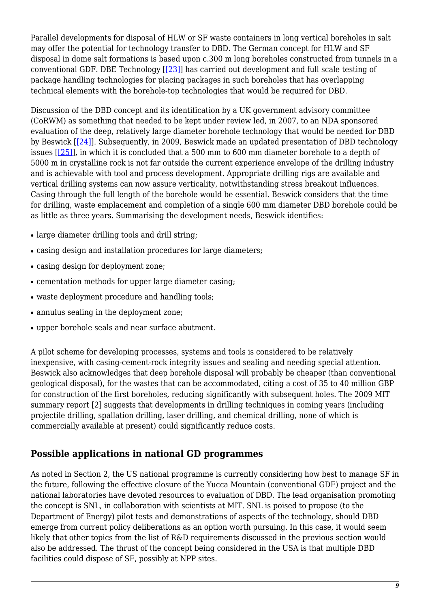Parallel developments for disposal of HLW or SF waste containers in long vertical boreholes in salt may offer the potential for technology transfer to DBD. The German concept for HLW and SF disposal in dome salt formations is based upon c.300 m long boreholes constructed from tunnels in a conventional GDF. DBE Technology [\[\[23\]\]](#page--1-0) has carried out development and full scale testing of package handling technologies for placing packages in such boreholes that has overlapping technical elements with the borehole-top technologies that would be required for DBD.

Discussion of the DBD concept and its identification by a UK government advisory committee (CoRWM) as something that needed to be kept under review led, in 2007, to an NDA sponsored evaluation of the deep, relatively large diameter borehole technology that would be needed for DBD by Beswick [[\[24\]](#page--1-0)]. Subsequently, in 2009, Beswick made an updated presentation of DBD technology issues [\[\[25\]](#page--1-0)], in which it is concluded that a 500 mm to 600 mm diameter borehole to a depth of 5000 m in crystalline rock is not far outside the current experience envelope of the drilling industry and is achievable with tool and process development. Appropriate drilling rigs are available and vertical drilling systems can now assure verticality, notwithstanding stress breakout influences. Casing through the full length of the borehole would be essential. Beswick considers that the time for drilling, waste emplacement and completion of a single 600 mm diameter DBD borehole could be as little as three years. Summarising the development needs, Beswick identifies:

- large diameter drilling tools and drill string;
- casing design and installation procedures for large diameters;
- casing design for deployment zone;
- cementation methods for upper large diameter casing;
- waste deployment procedure and handling tools;
- annulus sealing in the deployment zone;
- upper borehole seals and near surface abutment.

A pilot scheme for developing processes, systems and tools is considered to be relatively inexpensive, with casing-cement-rock integrity issues and sealing and needing special attention. Beswick also acknowledges that deep borehole disposal will probably be cheaper (than conventional geological disposal), for the wastes that can be accommodated, citing a cost of 35 to 40 million GBP for construction of the first boreholes, reducing significantly with subsequent holes. The 2009 MIT summary report [2] suggests that developments in drilling techniques in coming years (including projectile drilling, spallation drilling, laser drilling, and chemical drilling, none of which is commercially available at present) could significantly reduce costs.

#### **Possible applications in national GD programmes**

As noted in Section 2, the US national programme is currently considering how best to manage SF in the future, following the effective closure of the Yucca Mountain (conventional GDF) project and the national laboratories have devoted resources to evaluation of DBD. The lead organisation promoting the concept is SNL, in collaboration with scientists at MIT. SNL is poised to propose (to the Department of Energy) pilot tests and demonstrations of aspects of the technology, should DBD emerge from current policy deliberations as an option worth pursuing. In this case, it would seem likely that other topics from the list of R&D requirements discussed in the previous section would also be addressed. The thrust of the concept being considered in the USA is that multiple DBD facilities could dispose of SF, possibly at NPP sites.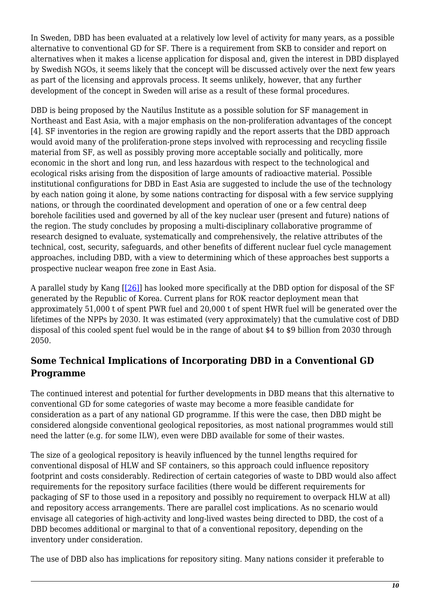In Sweden, DBD has been evaluated at a relatively low level of activity for many years, as a possible alternative to conventional GD for SF. There is a requirement from SKB to consider and report on alternatives when it makes a license application for disposal and, given the interest in DBD displayed by Swedish NGOs, it seems likely that the concept will be discussed actively over the next few years as part of the licensing and approvals process. It seems unlikely, however, that any further development of the concept in Sweden will arise as a result of these formal procedures.

DBD is being proposed by the Nautilus Institute as a possible solution for SF management in Northeast and East Asia, with a major emphasis on the non-proliferation advantages of the concept [4]. SF inventories in the region are growing rapidly and the report asserts that the DBD approach would avoid many of the proliferation-prone steps involved with reprocessing and recycling fissile material from SF, as well as possibly proving more acceptable socially and politically, more economic in the short and long run, and less hazardous with respect to the technological and ecological risks arising from the disposition of large amounts of radioactive material. Possible institutional configurations for DBD in East Asia are suggested to include the use of the technology by each nation going it alone, by some nations contracting for disposal with a few service supplying nations, or through the coordinated development and operation of one or a few central deep borehole facilities used and governed by all of the key nuclear user (present and future) nations of the region. The study concludes by proposing a multi-disciplinary collaborative programme of research designed to evaluate, systematically and comprehensively, the relative attributes of the technical, cost, security, safeguards, and other benefits of different nuclear fuel cycle management approaches, including DBD, with a view to determining which of these approaches best supports a prospective nuclear weapon free zone in East Asia.

A parallel study by Kang [[\[26\]](#page--1-0)] has looked more specifically at the DBD option for disposal of the SF generated by the Republic of Korea. Current plans for ROK reactor deployment mean that approximately 51,000 t of spent PWR fuel and 20,000 t of spent HWR fuel will be generated over the lifetimes of the NPPs by 2030. It was estimated (very approximately) that the cumulative cost of DBD disposal of this cooled spent fuel would be in the range of about \$4 to \$9 billion from 2030 through 2050.

### **Some Technical Implications of Incorporating DBD in a Conventional GD Programme**

The continued interest and potential for further developments in DBD means that this alternative to conventional GD for some categories of waste may become a more feasible candidate for consideration as a part of any national GD programme. If this were the case, then DBD might be considered alongside conventional geological repositories, as most national programmes would still need the latter (e.g. for some ILW), even were DBD available for some of their wastes.

The size of a geological repository is heavily influenced by the tunnel lengths required for conventional disposal of HLW and SF containers, so this approach could influence repository footprint and costs considerably. Redirection of certain categories of waste to DBD would also affect requirements for the repository surface facilities (there would be different requirements for packaging of SF to those used in a repository and possibly no requirement to overpack HLW at all) and repository access arrangements. There are parallel cost implications. As no scenario would envisage all categories of high-activity and long-lived wastes being directed to DBD, the cost of a DBD becomes additional or marginal to that of a conventional repository, depending on the inventory under consideration.

The use of DBD also has implications for repository siting. Many nations consider it preferable to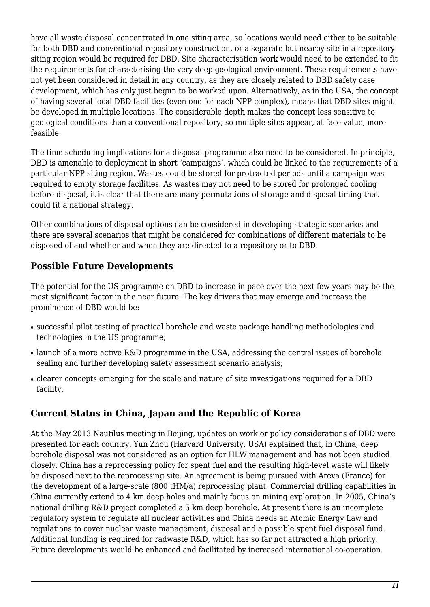have all waste disposal concentrated in one siting area, so locations would need either to be suitable for both DBD and conventional repository construction, or a separate but nearby site in a repository siting region would be required for DBD. Site characterisation work would need to be extended to fit the requirements for characterising the very deep geological environment. These requirements have not yet been considered in detail in any country, as they are closely related to DBD safety case development, which has only just begun to be worked upon. Alternatively, as in the USA, the concept of having several local DBD facilities (even one for each NPP complex), means that DBD sites might be developed in multiple locations. The considerable depth makes the concept less sensitive to geological conditions than a conventional repository, so multiple sites appear, at face value, more feasible.

The time-scheduling implications for a disposal programme also need to be considered. In principle, DBD is amenable to deployment in short 'campaigns', which could be linked to the requirements of a particular NPP siting region. Wastes could be stored for protracted periods until a campaign was required to empty storage facilities. As wastes may not need to be stored for prolonged cooling before disposal, it is clear that there are many permutations of storage and disposal timing that could fit a national strategy.

Other combinations of disposal options can be considered in developing strategic scenarios and there are several scenarios that might be considered for combinations of different materials to be disposed of and whether and when they are directed to a repository or to DBD.

### **Possible Future Developments**

The potential for the US programme on DBD to increase in pace over the next few years may be the most significant factor in the near future. The key drivers that may emerge and increase the prominence of DBD would be:

- successful pilot testing of practical borehole and waste package handling methodologies and technologies in the US programme;
- launch of a more active R&D programme in the USA, addressing the central issues of borehole sealing and further developing safety assessment scenario analysis;
- clearer concepts emerging for the scale and nature of site investigations required for a DBD facility.

### **Current Status in China, Japan and the Republic of Korea**

At the May 2013 Nautilus meeting in Beijing, updates on work or policy considerations of DBD were presented for each country. Yun Zhou (Harvard University, USA) explained that, in China, deep borehole disposal was not considered as an option for HLW management and has not been studied closely. China has a reprocessing policy for spent fuel and the resulting high-level waste will likely be disposed next to the reprocessing site. An agreement is being pursued with Areva (France) for the development of a large-scale (800 tHM/a) reprocessing plant. Commercial drilling capabilities in China currently extend to 4 km deep holes and mainly focus on mining exploration. In 2005, China's national drilling R&D project completed a 5 km deep borehole. At present there is an incomplete regulatory system to regulate all nuclear activities and China needs an Atomic Energy Law and regulations to cover nuclear waste management, disposal and a possible spent fuel disposal fund. Additional funding is required for radwaste R&D, which has so far not attracted a high priority. Future developments would be enhanced and facilitated by increased international co-operation.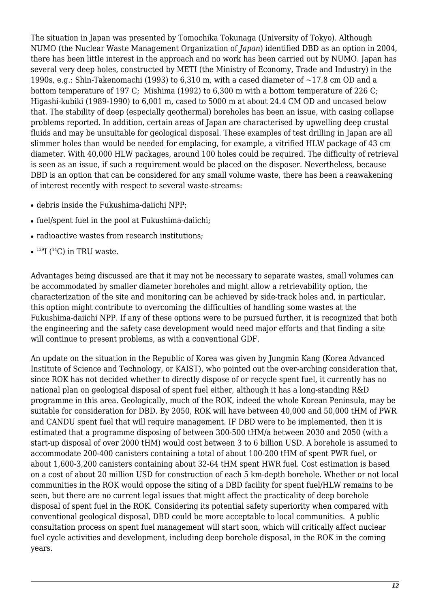The situation in Japan was presented by Tomochika Tokunaga (University of Tokyo). Although NUMO (the Nuclear Waste Management Organization of *Japan*) identified DBD as an option in 2004, there has been little interest in the approach and no work has been carried out by NUMO. Japan has several very deep holes, constructed by METI (the Ministry of Economy, Trade and Industry) in the 1990s, e.g.: Shin-Takenomachi (1993) to 6,310 m, with a cased diameter of  $\sim$ 17.8 cm OD and a bottom temperature of 197 C; Mishima (1992) to 6,300 m with a bottom temperature of 226 C; Higashi-kubiki (1989-1990) to 6,001 m, cased to 5000 m at about 24.4 CM OD and uncased below that. The stability of deep (especially geothermal) boreholes has been an issue, with casing collapse problems reported. In addition, certain areas of Japan are characterised by upwelling deep crustal fluids and may be unsuitable for geological disposal. These examples of test drilling in Japan are all slimmer holes than would be needed for emplacing, for example, a vitrified HLW package of 43 cm diameter. With 40,000 HLW packages, around 100 holes could be required. The difficulty of retrieval is seen as an issue, if such a requirement would be placed on the disposer. Nevertheless, because DBD is an option that can be considered for any small volume waste, there has been a reawakening of interest recently with respect to several waste-streams:

- debris inside the Fukushima-daiichi NPP;
- fuel/spent fuel in the pool at Fukushima-daiichi;
- radioactive wastes from research institutions;
- $\bullet$  <sup>129</sup>I (<sup>14</sup>C) in TRU waste.

Advantages being discussed are that it may not be necessary to separate wastes, small volumes can be accommodated by smaller diameter boreholes and might allow a retrievability option, the characterization of the site and monitoring can be achieved by side-track holes and, in particular, this option might contribute to overcoming the difficulties of handling some wastes at the Fukushima-daiichi NPP. If any of these options were to be pursued further, it is recognized that both the engineering and the safety case development would need major efforts and that finding a site will continue to present problems, as with a conventional GDF.

An update on the situation in the Republic of Korea was given by Jungmin Kang (Korea Advanced Institute of Science and Technology, or KAIST), who pointed out the over-arching consideration that, since ROK has not decided whether to directly dispose of or recycle spent fuel, it currently has no national plan on geological disposal of spent fuel either, although it has a long-standing R&D programme in this area. Geologically, much of the ROK, indeed the whole Korean Peninsula, may be suitable for consideration for DBD. By 2050, ROK will have between 40,000 and 50,000 tHM of PWR and CANDU spent fuel that will require management. IF DBD were to be implemented, then it is estimated that a programme disposing of between 300-500 tHM/a between 2030 and 2050 (with a start-up disposal of over 2000 tHM) would cost between 3 to 6 billion USD. A borehole is assumed to accommodate 200-400 canisters containing a total of about 100-200 tHM of spent PWR fuel, or about 1,600-3,200 canisters containing about 32-64 tHM spent HWR fuel. Cost estimation is based on a cost of about 20 million USD for construction of each 5 km-depth borehole. Whether or not local communities in the ROK would oppose the siting of a DBD facility for spent fuel/HLW remains to be seen, but there are no current legal issues that might affect the practicality of deep borehole disposal of spent fuel in the ROK. Considering its potential safety superiority when compared with conventional geological disposal, DBD could be more acceptable to local communities. A public consultation process on spent fuel management will start soon, which will critically affect nuclear fuel cycle activities and development, including deep borehole disposal, in the ROK in the coming years.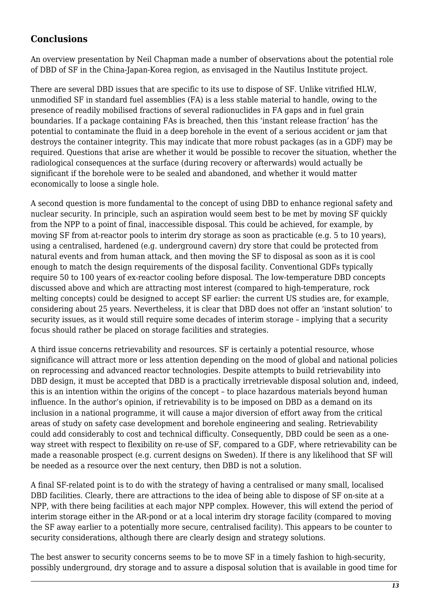## **Conclusions**

An overview presentation by Neil Chapman made a number of observations about the potential role of DBD of SF in the China-Japan-Korea region, as envisaged in the Nautilus Institute project.

There are several DBD issues that are specific to its use to dispose of SF. Unlike vitrified HLW, unmodified SF in standard fuel assemblies (FA) is a less stable material to handle, owing to the presence of readily mobilised fractions of several radionuclides in FA gaps and in fuel grain boundaries. If a package containing FAs is breached, then this 'instant release fraction' has the potential to contaminate the fluid in a deep borehole in the event of a serious accident or jam that destroys the container integrity. This may indicate that more robust packages (as in a GDF) may be required. Questions that arise are whether it would be possible to recover the situation, whether the radiological consequences at the surface (during recovery or afterwards) would actually be significant if the borehole were to be sealed and abandoned, and whether it would matter economically to loose a single hole.

A second question is more fundamental to the concept of using DBD to enhance regional safety and nuclear security. In principle, such an aspiration would seem best to be met by moving SF quickly from the NPP to a point of final, inaccessible disposal. This could be achieved, for example, by moving SF from at-reactor pools to interim dry storage as soon as practicable (e.g. 5 to 10 years), using a centralised, hardened (e.g. underground cavern) dry store that could be protected from natural events and from human attack, and then moving the SF to disposal as soon as it is cool enough to match the design requirements of the disposal facility. Conventional GDFs typically require 50 to 100 years of ex-reactor cooling before disposal. The low-temperature DBD concepts discussed above and which are attracting most interest (compared to high-temperature, rock melting concepts) could be designed to accept SF earlier: the current US studies are, for example, considering about 25 years. Nevertheless, it is clear that DBD does not offer an 'instant solution' to security issues, as it would still require some decades of interim storage – implying that a security focus should rather be placed on storage facilities and strategies.

A third issue concerns retrievability and resources. SF is certainly a potential resource, whose significance will attract more or less attention depending on the mood of global and national policies on reprocessing and advanced reactor technologies. Despite attempts to build retrievability into DBD design, it must be accepted that DBD is a practically irretrievable disposal solution and, indeed, this is an intention within the origins of the concept – to place hazardous materials beyond human influence. In the author's opinion, if retrievability is to be imposed on DBD as a demand on its inclusion in a national programme, it will cause a major diversion of effort away from the critical areas of study on safety case development and borehole engineering and sealing. Retrievability could add considerably to cost and technical difficulty. Consequently, DBD could be seen as a oneway street with respect to flexibility on re-use of SF, compared to a GDF, where retrievability can be made a reasonable prospect (e.g. current designs on Sweden). If there is any likelihood that SF will be needed as a resource over the next century, then DBD is not a solution.

A final SF-related point is to do with the strategy of having a centralised or many small, localised DBD facilities. Clearly, there are attractions to the idea of being able to dispose of SF on-site at a NPP, with there being facilities at each major NPP complex. However, this will extend the period of interim storage either in the AR-pond or at a local interim dry storage facility (compared to moving the SF away earlier to a potentially more secure, centralised facility). This appears to be counter to security considerations, although there are clearly design and strategy solutions.

The best answer to security concerns seems to be to move SF in a timely fashion to high-security, possibly underground, dry storage and to assure a disposal solution that is available in good time for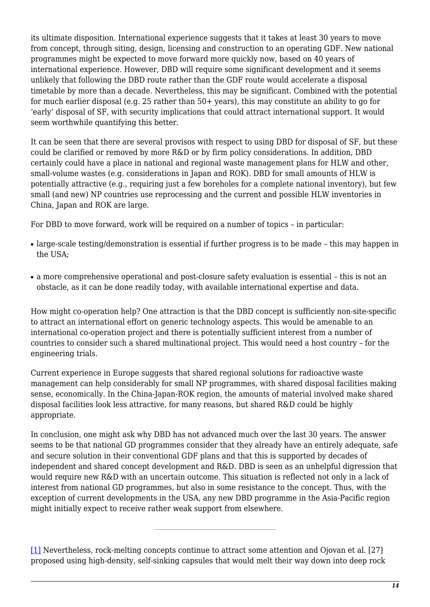its ultimate disposition. International experience suggests that it takes at least 30 years to move from concept, through siting, design, licensing and construction to an operating GDF. New national programmes might be expected to move forward more quickly now, based on 40 years of international experience. However, DBD will require some significant development and it seems unlikely that following the DBD route rather than the GDF route would accelerate a disposal timetable by more than a decade. Nevertheless, this may be significant. Combined with the potential for much earlier disposal (e.g. 25 rather than 50+ years), this may constitute an ability to go for 'early' disposal of SF, with security implications that could attract international support. It would seem worthwhile quantifying this better.

It can be seen that there are several provisos with respect to using DBD for disposal of SF, but these could be clarified or removed by more R&D or by firm policy considerations. In addition, DBD certainly could have a place in national and regional waste management plans for HLW and other, small-volume wastes (e.g. considerations in Japan and ROK). DBD for small amounts of HLW is potentially attractive (e.g., requiring just a few boreholes for a complete national inventory), but few small (and new) NP countries use reprocessing and the current and possible HLW inventories in China, Japan and ROK are large.

For DBD to move forward, work will be required on a number of topics – in particular:

- large-scale testing/demonstration is essential if further progress is to be made this may happen in the USA;
- a more comprehensive operational and post-closure safety evaluation is essential this is not an obstacle, as it can be done readily today, with available international expertise and data.

How might co-operation help? One attraction is that the DBD concept is sufficiently non-site-specific to attract an international effort on generic technology aspects. This would be amenable to an international co-operation project and there is potentially sufficient interest from a number of countries to consider such a shared multinational project. This would need a host country – for the engineering trials.

Current experience in Europe suggests that shared regional solutions for radioactive waste management can help considerably for small NP programmes, with shared disposal facilities making sense, economically. In the China-Japan-ROK region, the amounts of material involved make shared disposal facilities look less attractive, for many reasons, but shared R&D could be highly appropriate.

In conclusion, one might ask why DBD has not advanced much over the last 30 years. The answer seems to be that national GD programmes consider that they already have an entirely adequate, safe and secure solution in their conventional GDF plans and that this is supported by decades of independent and shared concept development and R&D. DBD is seen as an unhelpful digression that would require new R&D with an uncertain outcome. This situation is reflected not only in a lack of interest from national GD programmes, but also in some resistance to the concept. Thus, with the exception of current developments in the USA, any new DBD programme in the Asia-Pacific region might initially expect to receive rather weak support from elsewhere.

[\[1\]](#page--1-0) Nevertheless, rock-melting concepts continue to attract some attention and Ojovan et al. [27] proposed using high-density, self-sinking capsules that would melt their way down into deep rock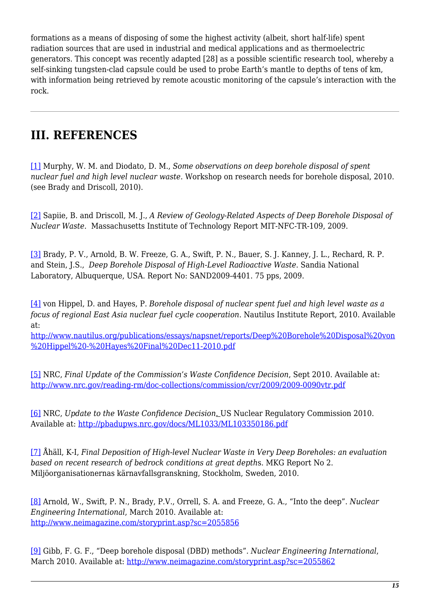formations as a means of disposing of some the highest activity (albeit, short half-life) spent radiation sources that are used in industrial and medical applications and as thermoelectric generators. This concept was recently adapted [28] as a possible scientific research tool, whereby a self-sinking tungsten-clad capsule could be used to probe Earth's mantle to depths of tens of km, with information being retrieved by remote acoustic monitoring of the capsule's interaction with the rock.

## **III. REFERENCES**

[\[1\]](#page--1-0) Murphy, W. M. and Diodato, D. M., *Some observations on deep borehole disposal of spent nuclear fuel and high level nuclear waste.* Workshop on research needs for borehole disposal, 2010. (see Brady and Driscoll, 2010).

[\[2\]](#page--1-0) Sapiie, B. and Driscoll, M. J., *A Review of Geology-Related Aspects of Deep Borehole Disposal of Nuclear Waste.* Massachusetts Institute of Technology Report MIT-NFC-TR-109, 2009.

[\[3\]](#page--1-0) Brady, P. V., Arnold, B. W. Freeze, G. A., Swift, P. N., Bauer, S. J. Kanney, J. L., Rechard, R. P. and Stein, J.S., *Deep Borehole Disposal of High-Level Radioactive Waste*. Sandia National Laboratory, Albuquerque, USA. Report No: SAND2009-4401. 75 pps, 2009.

[\[4\]](#page--1-0) von Hippel, D. and Hayes, P. *Borehole disposal of nuclear spent fuel and high level waste as a focus of regional East Asia nuclear fuel cycle cooperation*. Nautilus Institute Report, 2010. Available at:

[http://www.nautilus.org/publications/essays/napsnet/reports/Deep%20Borehole%20Disposal%20von](http://www.nautilus.org/publications/essays/napsnet/reports/Deep Borehole Disposal von Hippel - Hayes Final Dec11-2010.pdf) [%20Hippel%20-%20Hayes%20Final%20Dec11-2010.pdf](http://www.nautilus.org/publications/essays/napsnet/reports/Deep Borehole Disposal von Hippel - Hayes Final Dec11-2010.pdf)

[\[5\]](#page--1-0) NRC, *Final Update of the Commission's Waste Confidence Decision*, Sept 2010. Available at: <http://www.nrc.gov/reading-rm/doc-collections/commission/cvr/2009/2009-0090vtr.pdf>

[\[6\]](#page--1-0) NRC, *Update to the Waste Confidence Decision*. US Nuclear Regulatory Commission 2010. Available at:<http://pbadupws.nrc.gov/docs/ML1033/ML103350186.pdf>

[\[7\]](#page--1-0) Åhäll, K-I, *Final Deposition of High-level Nuclear Waste in Very Deep Boreholes: an evaluation based on recent research of bedrock conditions at great depth*s. MKG Report No 2. Miljöorganisationernas kärnavfallsgranskning, Stockholm, Sweden, 2010.

[\[8\]](#page--1-0) Arnold, W., Swift, P. N., Brady, P.V., Orrell, S. A. and Freeze, G. A., "Into the deep". *Nuclear Engineering International*, March 2010. Available at: <http://www.neimagazine.com/storyprint.asp?sc=2055856>

[\[9\]](#page--1-0) Gibb, F. G. F., "Deep borehole disposal (DBD) methods"*. Nuclear Engineering International*, March 2010. Available at: <http://www.neimagazine.com/storyprint.asp?sc=2055862>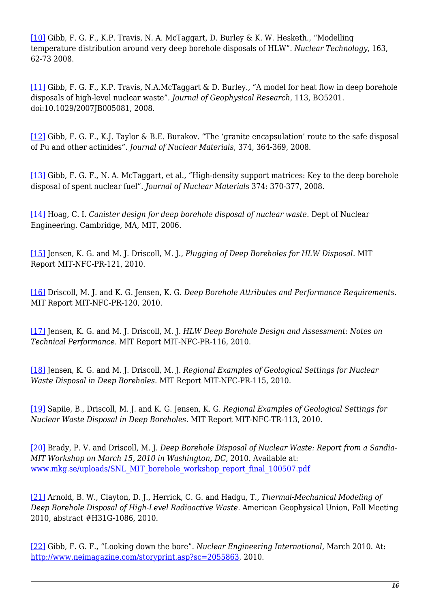[\[10\]](#page--1-0) Gibb, F. G. F., K.P. Travis, N. A. McTaggart, D. Burley & K. W. Hesketh., "Modelling temperature distribution around very deep borehole disposals of HLW". *Nuclear Technology*, 163, 62-73 2008.

[\[11\]](#page--1-0) Gibb, F. G. F., K.P. Travis, N.A.McTaggart & D. Burley., "A model for heat flow in deep borehole disposals of high-level nuclear waste"*. Journal of Geophysical Research*, 113, BO5201. doi:10.1029/2007JB005081, 2008.

[\[12\]](#page--1-0) Gibb, F. G. F., K.J. Taylor & B.E. Burakov. "The 'granite encapsulation' route to the safe disposal of Pu and other actinides"*. Journal of Nuclear Materials*, 374, 364-369, 2008.

[\[13\]](#page--1-0) Gibb, F. G. F., N. A. McTaggart, et al., "High-density support matrices: Key to the deep borehole disposal of spent nuclear fuel". *Journal of Nuclear Materials* 374: 370-377, 2008.

[\[14\]](#page--1-0) Hoag, C. I. *Canister design for deep borehole disposal of nuclear waste*. Dept of Nuclear Engineering. Cambridge, MA, MIT, 2006.

[\[15\]](#page--1-0) Jensen, K. G. and M. J. Driscoll, M. J., *Plugging of Deep Boreholes for HLW Disposal.* MIT Report MIT-NFC-PR-121, 2010.

[\[16\]](#page--1-0) Driscoll, M. J. and K. G. Jensen, K. G. *Deep Borehole Attributes and Performance Requirements.* MIT Report MIT-NFC-PR-120, 2010.

[\[17\]](#page--1-0) Jensen, K. G. and M. J. Driscoll, M. J. *HLW Deep Borehole Design and Assessment: Notes on Technical Performance.* MIT Report MIT-NFC-PR-116, 2010.

[\[18\]](#page--1-0) Jensen, K. G. and M. J. Driscoll, M. J. *Regional Examples of Geological Settings for Nuclear Waste Disposal in Deep Boreholes*. MIT Report MIT-NFC-PR-115, 2010.

[\[19\]](#page--1-0) Sapiie, B., Driscoll, M. J. and K. G. Jensen, K. G. *Regional Examples of Geological Settings for Nuclear Waste Disposal in Deep Boreholes.* MIT Report MIT-NFC-TR-113, 2010.

[\[20\]](#page--1-0) Brady, P. V. and Driscoll, M. J. *Deep Borehole Disposal of Nuclear Waste: Report from a Sandia-MIT Workshop on March 15, 2010 in Washington, DC*, 2010. Available at: [www.mkg.se/uploads/SNL\\_MIT\\_borehole\\_workshop\\_report\\_final\\_100507.pdf](http://www.mkg.se/uploads/SNL_MIT_borehole_workshop_report_final_100507.pdf)

[\[21\]](#page--1-0) Arnold, B. W., Clayton, D. J., Herrick, C. G. and Hadgu, T., *Thermal-Mechanical Modeling of Deep Borehole Disposal of High-Level Radioactive Waste.* American Geophysical Union, Fall Meeting 2010, abstract #H31G-1086, 2010.

[\[22\]](#page--1-0) Gibb, F. G. F., "Looking down the bore". *Nuclear Engineering International*, March 2010. At: <http://www.neimagazine.com/storyprint.asp?sc=2055863>, 2010.